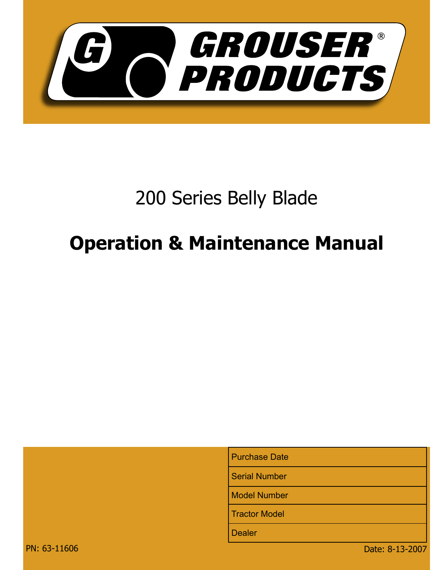

# 200 Series Belly Blade

# **Operation & Maintenance Manual**

Purchase Date

Serial Number

Model Number

Tractor Model

Dealer

PN: 63-11606 Date: 8-13-2007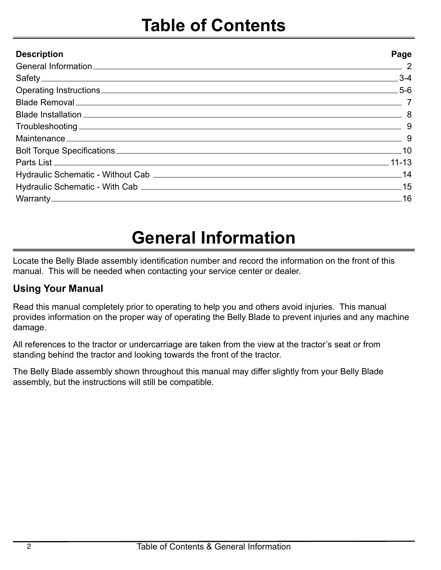| <b>Description</b>                                                                                                                                                                                                            | Page     |
|-------------------------------------------------------------------------------------------------------------------------------------------------------------------------------------------------------------------------------|----------|
|                                                                                                                                                                                                                               | $\sim$ 2 |
|                                                                                                                                                                                                                               | $-3-4$   |
| Operating Instructions 5-6                                                                                                                                                                                                    |          |
|                                                                                                                                                                                                                               |          |
|                                                                                                                                                                                                                               |          |
| Troubleshooting 50 and 50 and 50 and 50 and 50 and 50 and 50 and 50 and 50 and 50 and 50 and 50 and 50 and 50 and 50 and 50 and 50 and 50 and 50 and 50 and 50 and 50 and 50 and 50 and 50 and 50 and 50 and 50 and 50 and 50 |          |
|                                                                                                                                                                                                                               |          |
|                                                                                                                                                                                                                               |          |
|                                                                                                                                                                                                                               |          |
|                                                                                                                                                                                                                               |          |
|                                                                                                                                                                                                                               |          |
|                                                                                                                                                                                                                               |          |

# **General Information**

Locate the Belly Blade assembly identification number and record the information on the front of this manual. This will be needed when contacting your service center or dealer.

#### **Using Your Manual**

Read this manual completely prior to operating to help you and others avoid injuries. This manual provides information on the proper way of operating the Belly Blade to prevent injuries and any machine damage.

All references to the tractor or undercarriage are taken from the view at the tractor's seat or from standing behind the tractor and looking towards the front of the tractor.

The Belly Blade assembly shown throughout this manual may differ slightly from your Belly Blade assembly, but the instructions will still be compatible.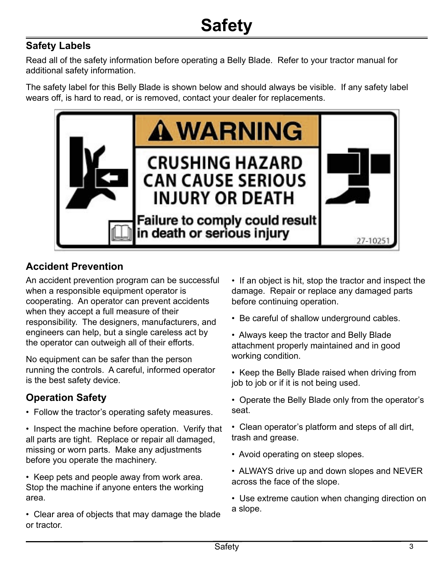### **Safety Labels**

Read all of the safety information before operating a Belly Blade. Refer to your tractor manual for additional safety information.

The safety label for this Belly Blade is shown below and should always be visible. If any safety label wears off, is hard to read, or is removed, contact your dealer for replacements.



## **Accident Prevention**

An accident prevention program can be successful when a responsible equipment operator is cooperating. An operator can prevent accidents when they accept a full measure of their responsibility. The designers, manufacturers, and engineers can help, but a single careless act by the operator can outweigh all of their efforts.

No equipment can be safer than the person running the controls. A careful, informed operator is the best safety device.

## **Operation Safety**

- Follow the tractor's operating safety measures.
- Inspect the machine before operation. Verify that all parts are tight. Replace or repair all damaged, missing or worn parts. Make any adjustments before you operate the machinery.
- Keep pets and people away from work area. Stop the machine if anyone enters the working area.
- Clear area of objects that may damage the blade or tractor.
- If an object is hit, stop the tractor and inspect the damage. Repair or replace any damaged parts before continuing operation.
- Be careful of shallow underground cables.
- Always keep the tractor and Belly Blade attachment properly maintained and in good working condition.
- Keep the Belly Blade raised when driving from job to job or if it is not being used.
- Operate the Belly Blade only from the operator's seat.
- Clean operator's platform and steps of all dirt, trash and grease.
- Avoid operating on steep slopes.
- ALWAYS drive up and down slopes and NEVER across the face of the slope.
- Use extreme caution when changing direction on a slope.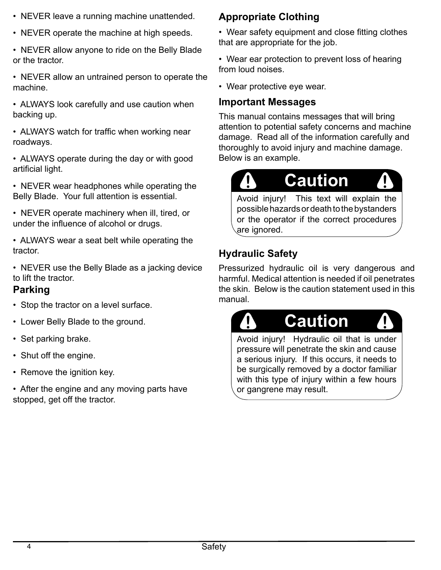- NEVER leave a running machine unattended.
- NEVER operate the machine at high speeds.

• NEVER allow anyone to ride on the Belly Blade or the tractor.

• NEVER allow an untrained person to operate the machine.

• ALWAYS look carefully and use caution when backing up.

• ALWAYS watch for traffic when working near roadways.

• ALWAYS operate during the day or with good artificial light.

• NEVER wear headphones while operating the Belly Blade. Your full attention is essential.

• NEVER operate machinery when ill, tired, or under the influence of alcohol or drugs.

• ALWAYS wear a seat belt while operating the tractor.

• NEVER use the Belly Blade as a jacking device to lift the tractor.

#### **Parking**

- Stop the tractor on a level surface.
- Lower Belly Blade to the ground.
- Set parking brake.
- Shut off the engine.
- Remove the ignition key.
- After the engine and any moving parts have stopped, get off the tractor.

### **Appropriate Clothing**

• Wear safety equipment and close fitting clothes that are appropriate for the job.

• Wear ear protection to prevent loss of hearing from loud noises.

• Wear protective eye wear.

#### **Important Messages**

This manual contains messages that will bring attention to potential safety concerns and machine damage. Read all of the information carefully and thoroughly to avoid injury and machine damage. Below is an example.



Avoid injury! This text will explain the possible hazards or death to the bystanders or the operator if the correct procedures are ignored.

### **Hydraulic Safety**

Pressurized hydraulic oil is very dangerous and harmful. Medical attention is needed if oil penetrates the skin. Below is the caution statement used in this manual.



Avoid injury! Hydraulic oil that is under pressure will penetrate the skin and cause a serious injury. If this occurs, it needs to be surgically removed by a doctor familiar with this type of injury within a few hours or gangrene may result.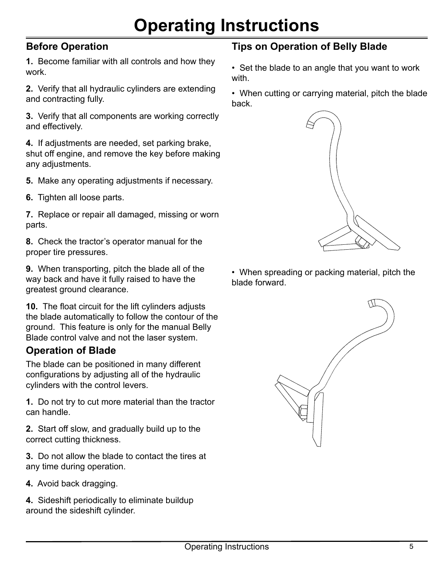## **Before Operation**

**1.** Become familiar with all controls and how they work.

**2.** Verify that all hydraulic cylinders are extending and contracting fully.

**3.** Verify that all components are working correctly and effectively.

**4.** If adjustments are needed, set parking brake, shut off engine, and remove the key before making any adjustments.

**5.** Make any operating adjustments if necessary.

**6.** Tighten all loose parts.

**7.** Replace or repair all damaged, missing or worn parts.

**8.** Check the tractor's operator manual for the proper tire pressures.

**9.** When transporting, pitch the blade all of the way back and have it fully raised to have the greatest ground clearance.

**10.** The float circuit for the lift cylinders adjusts the blade automatically to follow the contour of the ground. This feature is only for the manual Belly Blade control valve and not the laser system.

### **Operation of Blade**

The blade can be positioned in many different configurations by adjusting all of the hydraulic cylinders with the control levers.

**1.** Do not try to cut more material than the tractor can handle.

**2.** Start off slow, and gradually build up to the correct cutting thickness.

**3.** Do not allow the blade to contact the tires at any time during operation.

**4.** Avoid back dragging.

**4.** Sideshift periodically to eliminate buildup around the sideshift cylinder.

## **Tips on Operation of Belly Blade**

- Set the blade to an angle that you want to work with.
- When cutting or carrying material, pitch the blade back.



• When spreading or packing material, pitch the blade forward.

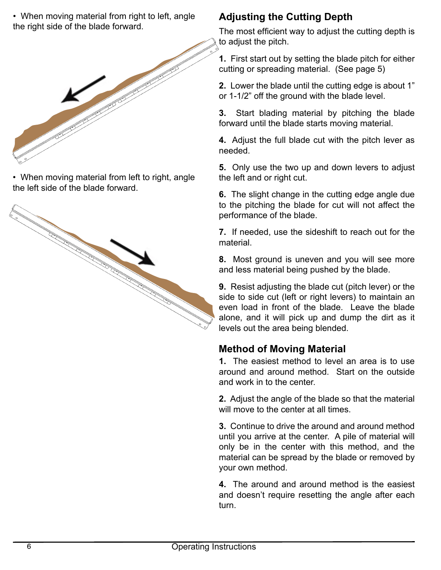• When moving material from right to left, angle the right side of the blade forward.



• When moving material from left to right, angle the left side of the blade forward.



## **Adjusting the Cutting Depth**

The most efficient way to adjust the cutting depth is to adjust the pitch.

**1.** First start out by setting the blade pitch for either cutting or spreading material. (See page 5)

**2.** Lower the blade until the cutting edge is about 1" or 1-1/2" off the ground with the blade level.

**3.** Start blading material by pitching the blade forward until the blade starts moving material.

**4.** Adjust the full blade cut with the pitch lever as needed.

**5.** Only use the two up and down levers to adjust the left and or right cut.

**6.** The slight change in the cutting edge angle due to the pitching the blade for cut will not affect the performance of the blade.

**7.** If needed, use the sideshift to reach out for the material.

**8.** Most ground is uneven and you will see more and less material being pushed by the blade.

**9.** Resist adjusting the blade cut (pitch lever) or the side to side cut (left or right levers) to maintain an even load in front of the blade. Leave the blade alone, and it will pick up and dump the dirt as it levels out the area being blended.

### **Method of Moving Material**

**1.** The easiest method to level an area is to use around and around method. Start on the outside and work in to the center.

**2.** Adjust the angle of the blade so that the material will move to the center at all times.

**3.** Continue to drive the around and around method until you arrive at the center. A pile of material will only be in the center with this method, and the material can be spread by the blade or removed by your own method.

**4.** The around and around method is the easiest and doesn't require resetting the angle after each turn.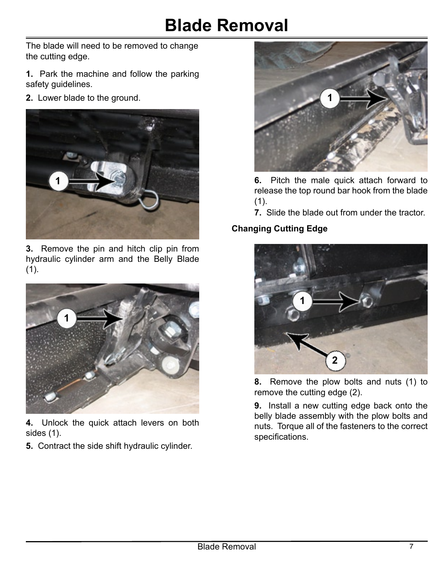# **Blade Removal**

The blade will need to be removed to change the cutting edge.

- **1.** Park the machine and follow the parking safety guidelines.
- **2.** Lower blade to the ground.



**3.** Remove the pin and hitch clip pin from hydraulic cylinder arm and the Belly Blade  $(1).$ 



**4.** Unlock the quick attach levers on both sides (1).

**5.** Contract the side shift hydraulic cylinder.



**6.** Pitch the male quick attach forward to release the top round bar hook from the blade  $(1).$ 

**7.** Slide the blade out from under the tractor.

#### **Changing Cutting Edge**



**8.** Remove the plow bolts and nuts (1) to remove the cutting edge (2).

**9.** Install a new cutting edge back onto the belly blade assembly with the plow bolts and nuts. Torque all of the fasteners to the correct specifications.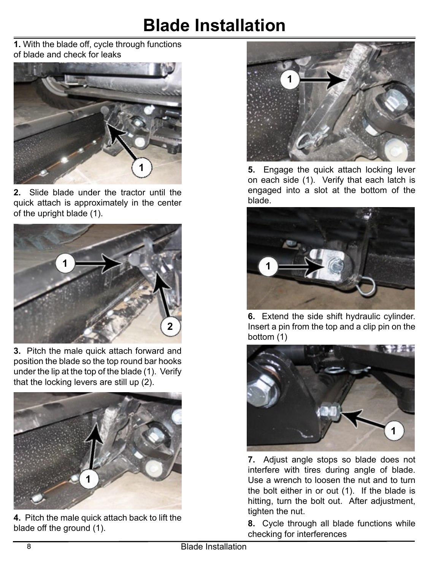# **Blade Installation**

**1.** With the blade off, cycle through functions of blade and check for leaks



**2.** Slide blade under the tractor until the quick attach is approximately in the center of the upright blade (1).



**3.** Pitch the male quick attach forward and position the blade so the top round bar hooks under the lip at the top of the blade (1). Verify that the locking levers are still up (2).



**4.** Pitch the male quick attach back to lift the blade off the ground (1).



**5.** Engage the quick attach locking lever on each side (1). Verify that each latch is engaged into a slot at the bottom of the blade.



**6.** Extend the side shift hydraulic cylinder. Insert a pin from the top and a clip pin on the bottom (1)



**7.** Adjust angle stops so blade does not interfere with tires during angle of blade. Use a wrench to loosen the nut and to turn the bolt either in or out (1). If the blade is hitting, turn the bolt out. After adjustment, tighten the nut.

**8.** Cycle through all blade functions while checking for interferences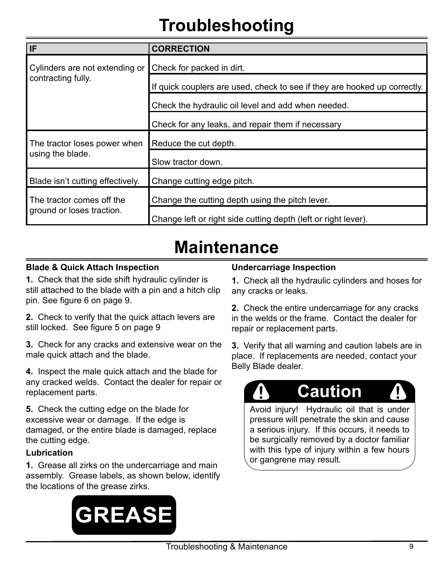# **Troubleshooting**

| $\overline{\mathsf{IF}}$         | <b>CORRECTION</b>                                                         |
|----------------------------------|---------------------------------------------------------------------------|
| Cylinders are not extending or   | Check for packed in dirt.                                                 |
| contracting fully.               | If quick couplers are used, check to see if they are hooked up correctly. |
|                                  | Check the hydraulic oil level and add when needed.                        |
|                                  | Check for any leaks, and repair them if necessary                         |
| The tractor loses power when     | Reduce the cut depth.                                                     |
| using the blade.                 | Slow tractor down.                                                        |
| Blade isn't cutting effectively. | Change cutting edge pitch.                                                |
| The tractor comes off the        | Change the cutting depth using the pitch lever.                           |
| ground or loses traction.        | Change left or right side cutting depth (left or right lever).            |

## **Maintenance**

#### **Blade & Quick Attach Inspection**

**1.** Check that the side shift hydraulic cylinder is still attached to the blade with a pin and a hitch clip pin. See figure 6 on page 9.

**2.** Check to verify that the quick attach levers are still locked. See figure 5 on page 9

**3.** Check for any cracks and extensive wear on the male quick attach and the blade.

**4.** Inspect the male quick attach and the blade for any cracked welds. Contact the dealer for repair or replacement parts.

**5.** Check the cutting edge on the blade for excessive wear or damage. If the edge is damaged, or the entire blade is damaged, replace the cutting edge.

#### **Lubrication**

**1.** Grease all zirks on the undercarriage and main assembly. Grease labels, as shown below, identify the locations of the grease zirks.

#### **Undercarriage Inspection**

**1.** Check all the hydraulic cylinders and hoses for any cracks or leaks.

**2.** Check the entire undercarriage for any cracks in the welds or the frame. Contact the dealer for repair or replacement parts.

**3.** Verify that all warning and caution labels are in place. If replacements are needed, contact your Belly Blade dealer.

# **! Caution !**

Avoid injury! Hydraulic oil that is under pressure will penetrate the skin and cause a serious injury. If this occurs, it needs to be surgically removed by a doctor familiar with this type of injury within a few hours or gangrene may result.

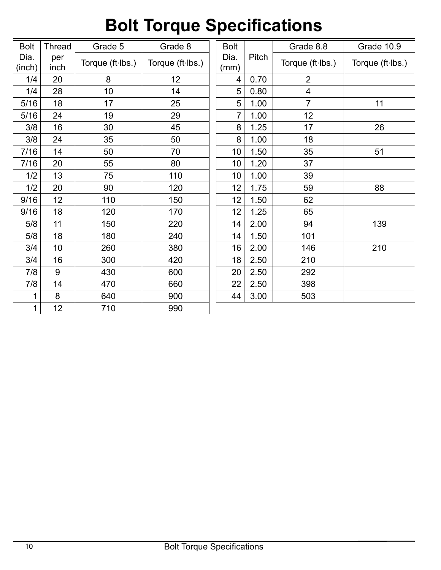# **Bolt Torque Specifications**

| <b>Bolt</b>    | <b>Thread</b> | Grade 5          | Grade 8          | <b>Bolt</b>     |       | Grade 8.8               | Grade 10.9       |
|----------------|---------------|------------------|------------------|-----------------|-------|-------------------------|------------------|
| Dia.<br>(inch) | per<br>inch   | Torque (ft lbs.) | Torque (ft lbs.) | Dia.<br>(mm)    | Pitch | Torque (ft lbs.)        | Torque (ft lbs.) |
| 1/4            | 20            | 8                | 12               | 4               | 0.70  | $\overline{2}$          |                  |
| 1/4            | 28            | 10               | 14               | 5               | 0.80  | $\overline{\mathbf{4}}$ |                  |
| 5/16           | 18            | 17               | 25               | 5               | 1.00  | $\overline{7}$          | 11               |
| 5/16           | 24            | 19               | 29               | $\overline{7}$  | 1.00  | 12                      |                  |
| 3/8            | 16            | 30               | 45               | 8               | 1.25  | 17                      | 26               |
| 3/8            | 24            | 35               | 50               | 8               | 1.00  | 18                      |                  |
| 7/16           | 14            | 50               | 70               | 10 <sup>1</sup> | 1.50  | 35                      | 51               |
| 7/16           | 20            | 55               | 80               | 10 <sup>°</sup> | 1.20  | 37                      |                  |
| 1/2            | 13            | 75               | 110              | 10 <sup>°</sup> | 1.00  | 39                      |                  |
| 1/2            | 20            | 90               | 120              | 12              | 1.75  | 59                      | 88               |
| 9/16           | 12            | 110              | 150              | 12              | 1.50  | 62                      |                  |
| 9/16           | 18            | 120              | 170              | 12              | 1.25  | 65                      |                  |
| 5/8            | 11            | 150              | 220              | 14              | 2.00  | 94                      | 139              |
| 5/8            | 18            | 180              | 240              | 14              | 1.50  | 101                     |                  |
| 3/4            | 10            | 260              | 380              | 16              | 2.00  | 146                     | 210              |
| 3/4            | 16            | 300              | 420              | 18              | 2.50  | 210                     |                  |
| 7/8            | 9             | 430              | 600              | 20              | 2.50  | 292                     |                  |
| 7/8            | 14            | 470              | 660              | 22              | 2.50  | 398                     |                  |
| 1              | 8             | 640              | 900              | 44              | 3.00  | 503                     |                  |
| 1              | 12            | 710              | 990              |                 |       |                         |                  |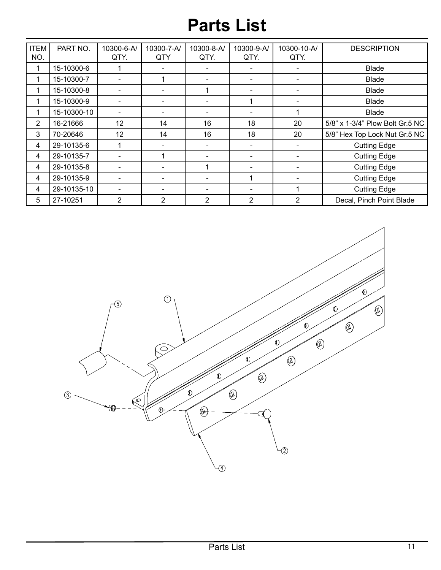# **Parts List**

| <b>ITEM</b>    | PART NO.    | 10300-6-A/     | 10300-7-A/     | 10300-8-A/     | 10300-9-A/     | 10300-10-A/              | <b>DESCRIPTION</b>              |
|----------------|-------------|----------------|----------------|----------------|----------------|--------------------------|---------------------------------|
| NO.            |             | QTY.           | QTY            | QTY.           | QTY.           | QTY.                     |                                 |
|                |             |                |                |                |                |                          |                                 |
| 1              | 15-10300-6  |                |                |                |                |                          | <b>Blade</b>                    |
| 1              | 15-10300-7  |                |                |                |                |                          | Blade                           |
| 1              | 15-10300-8  |                |                |                |                | $\overline{\phantom{0}}$ | <b>Blade</b>                    |
|                | 15-10300-9  |                |                |                |                |                          | <b>Blade</b>                    |
| 1              | 15-10300-10 |                |                |                |                | 1                        | <b>Blade</b>                    |
| $\overline{2}$ | 16-21666    | 12             | 14             | 16             | 18             | 20                       | 5/8" x 1-3/4" Plow Bolt Gr.5 NC |
| 3              | 70-20646    | 12             | 14             | 16             | 18             | 20                       | 5/8" Hex Top Lock Nut Gr.5 NC   |
| 4              | 29-10135-6  |                |                |                |                |                          | <b>Cutting Edge</b>             |
| 4              | 29-10135-7  |                |                |                |                |                          | <b>Cutting Edge</b>             |
| 4              | 29-10135-8  |                |                |                |                |                          | <b>Cutting Edge</b>             |
| 4              | 29-10135-9  |                |                |                |                |                          | <b>Cutting Edge</b>             |
| $\overline{4}$ | 29-10135-10 |                |                |                |                |                          | <b>Cutting Edge</b>             |
| 5              | 27-10251    | $\overline{2}$ | $\overline{2}$ | $\overline{2}$ | $\overline{2}$ | $\overline{2}$           | Decal, Pinch Point Blade        |

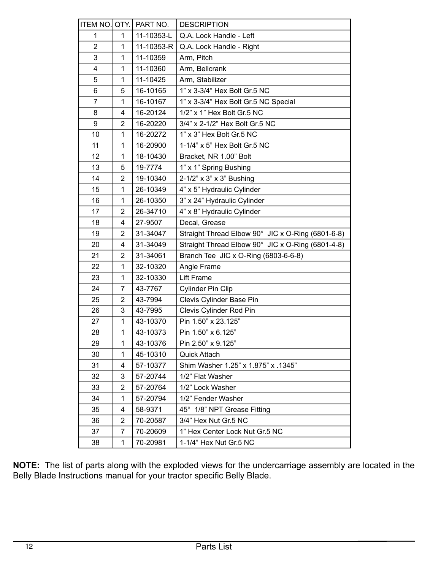| <b>ITEM NO. QTY.</b> |                | PART NO.   | <b>DESCRIPTION</b>                                |  |  |  |  |
|----------------------|----------------|------------|---------------------------------------------------|--|--|--|--|
| 1                    | 1              | 11-10353-L | Q.A. Lock Handle - Left                           |  |  |  |  |
| $\overline{2}$       | 1              | 11-10353-R | Q.A. Lock Handle - Right                          |  |  |  |  |
| 3                    | 1              | 11-10359   | Arm, Pitch                                        |  |  |  |  |
| 4<br>11-10360<br>1   |                |            | Arm, Bellcrank                                    |  |  |  |  |
| 5                    | 1              | 11-10425   | Arm, Stabilizer                                   |  |  |  |  |
| 6                    | 5              | 16-10165   | 1" x 3-3/4" Hex Bolt Gr.5 NC                      |  |  |  |  |
| $\overline{7}$       | 1              | 16-10167   | 1" x 3-3/4" Hex Bolt Gr.5 NC Special              |  |  |  |  |
| 8                    | 4              | 16-20124   | $1/2$ " x 1" Hex Bolt Gr.5 NC                     |  |  |  |  |
| 9                    | 2              | 16-20220   | 3/4" x 2-1/2" Hex Bolt Gr.5 NC                    |  |  |  |  |
| 10                   | $\mathbf{1}$   | 16-20272   | 1" x 3" Hex Bolt Gr.5 NC                          |  |  |  |  |
| 11                   | 1              | 16-20900   | 1-1/4" x 5" Hex Bolt Gr.5 NC                      |  |  |  |  |
| 12                   | 1              | 18-10430   | Bracket, NR 1.00" Bolt                            |  |  |  |  |
| 13                   | 5              | 19-7774    | 1" x 1" Spring Bushing                            |  |  |  |  |
| 14                   | $\overline{2}$ | 19-10340   | 2-1/2" x 3" x 3" Bushing                          |  |  |  |  |
| 15                   | 1              | 26-10349   | 4" x 5" Hydraulic Cylinder                        |  |  |  |  |
| 16                   | 1              | 26-10350   | 3" x 24" Hydraulic Cylinder                       |  |  |  |  |
| 17                   | 2              | 26-34710   | 4" x 8" Hydraulic Cylinder                        |  |  |  |  |
| 18                   | 4              | 27-9507    | Decal, Grease                                     |  |  |  |  |
| 19                   | 2              | 31-34047   | Straight Thread Elbow 90° JIC x O-Ring (6801-6-8) |  |  |  |  |
| 20                   | 4              | 31-34049   | Straight Thread Elbow 90° JIC x O-Ring (6801-4-8) |  |  |  |  |
| 21                   | $\overline{2}$ | 31-34061   | Branch Tee JIC x O-Ring (6803-6-6-8)              |  |  |  |  |
| 22                   | 1              | 32-10320   | Angle Frame                                       |  |  |  |  |
| 23                   | 1              | 32-10330   | <b>Lift Frame</b>                                 |  |  |  |  |
| 24                   | 7              | 43-7767    | <b>Cylinder Pin Clip</b>                          |  |  |  |  |
| 25                   | 2              | 43-7994    | Clevis Cylinder Base Pin                          |  |  |  |  |
| 26                   | 3              | 43-7995    | Clevis Cylinder Rod Pin                           |  |  |  |  |
| 27                   | 1              | 43-10370   | Pin 1.50" x 23.125"                               |  |  |  |  |
| 28                   | 1              | 43-10373   | Pin 1.50" x 6.125"                                |  |  |  |  |
| 29                   | 1              | 43-10376   | Pin 2.50" x 9.125"                                |  |  |  |  |
| 30                   | 1              | 45-10310   | <b>Quick Attach</b>                               |  |  |  |  |
| 31                   | 4              | 57-10377   | Shim Washer 1.25" x 1.875" x .1345"               |  |  |  |  |
| 32                   | 3              | 57-20744   | 1/2" Flat Washer                                  |  |  |  |  |
| 33                   | 2              | 57-20764   | 1/2" Lock Washer                                  |  |  |  |  |
| 34                   | 1              | 57-20794   | 1/2" Fender Washer                                |  |  |  |  |
| 35                   | 4              | 58-9371    | 45° 1/8" NPT Grease Fitting                       |  |  |  |  |
| 36                   | $\overline{2}$ | 70-20587   | 3/4" Hex Nut Gr.5 NC                              |  |  |  |  |
| 37                   | 7              | 70-20609   | 1" Hex Center Lock Nut Gr.5 NC                    |  |  |  |  |
| 38                   | 1              | 70-20981   | 1-1/4" Hex Nut Gr.5 NC                            |  |  |  |  |

**NOTE:** The list of parts along with the exploded views for the undercarriage assembly are located in the Belly Blade Instructions manual for your tractor specific Belly Blade.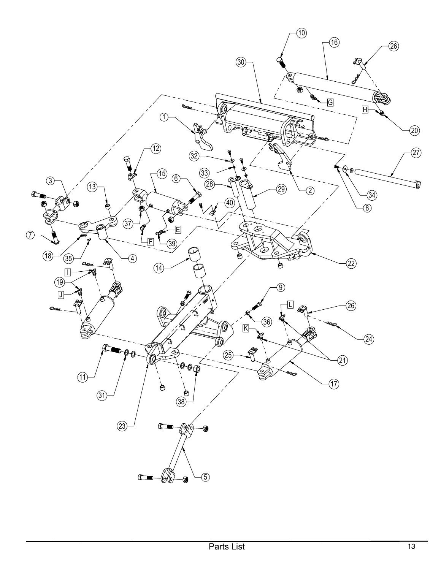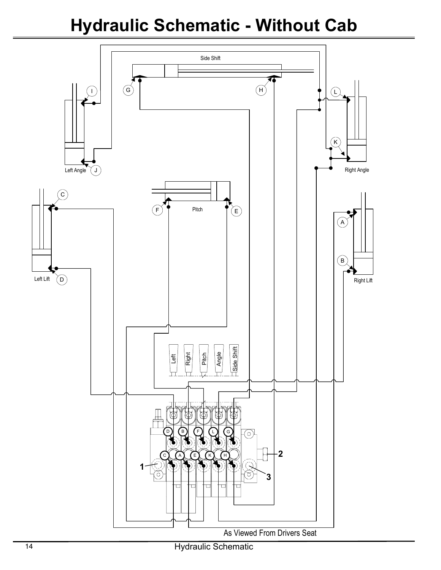# **Hydraulic Schematic - Without Cab**

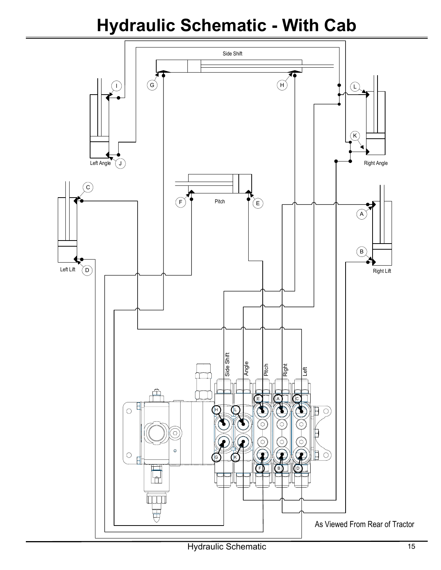# **Hydraulic Schematic - With Cab**